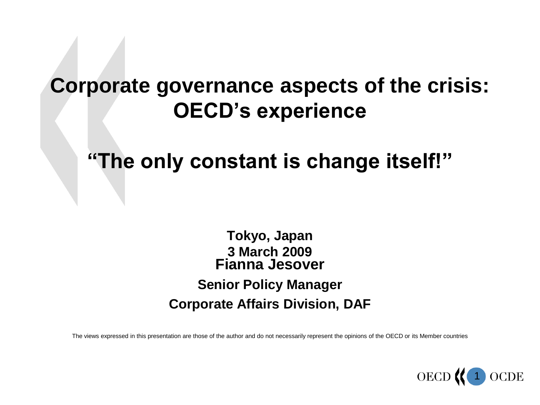#### **Corporate governance aspects of the crisis: OECD's experience**

#### **"The only constant is change itself!"**

**Tokyo, Japan 3 March 2009 Fianna Jesover Senior Policy Manager Corporate Affairs Division, DAF**

The views expressed in this presentation are those of the author and do not necessarily represent the opinions of the OECD or its Member countries

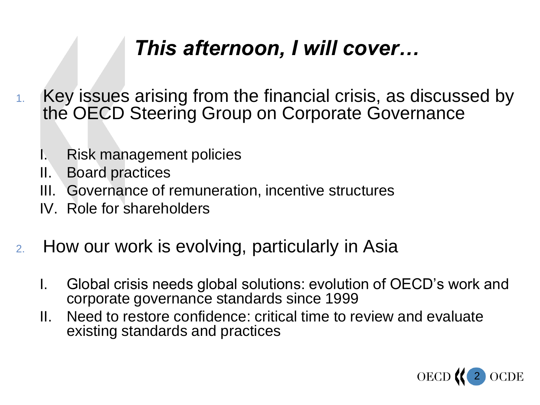#### *This afternoon, I will cover…*

- 1. Key issues arising from the financial crisis, as discussed by the OECD Steering Group on Corporate Governance
	- I. Risk management policies
	- II. Board practices
	- III. Governance of remuneration, incentive structures
	- IV. Role for shareholders
- 2. How our work is evolving, particularly in Asia
	- I. Global crisis needs global solutions: evolution of OECD"s work and corporate governance standards since 1999
	- II. Need to restore confidence: critical time to review and evaluate existing standards and practices

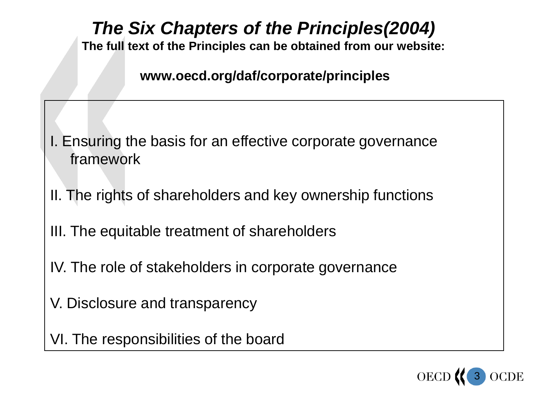#### *The Six Chapters of the Principles(2004)*

**The full text of the Principles can be obtained from our website:**

**www.oecd.org/daf/corporate/principles** 

- I. Ensuring the basis for an effective corporate governance framework
- II. The rights of shareholders and key ownership functions
- III. The equitable treatment of shareholders
- IV. The role of stakeholders in corporate governance
- V. Disclosure and transparency
- VI. The responsibilities of the board

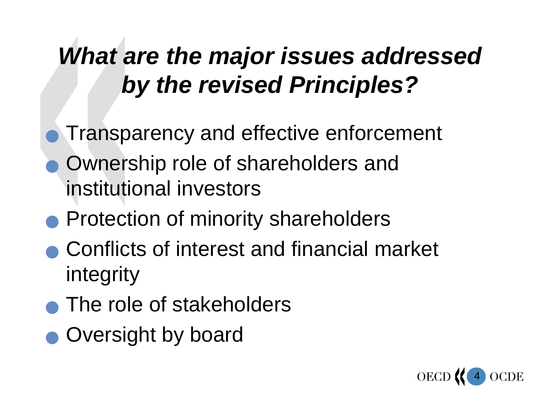## *What are the major issues addressed by the revised Principles?*

- Transparency and effective enforcement
- Ownership role of shareholders and institutional investors
- **Protection of minority shareholders**
- Conflicts of interest and financial market integrity
- The role of stakeholders
- Oversight by board

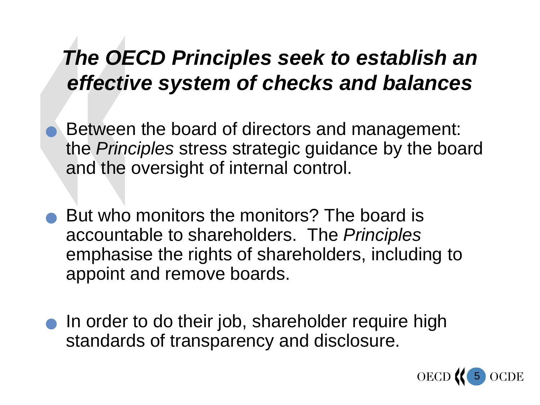#### *The OECD Principles seek to establish an effective system of checks and balances*

- Between the board of directors and management: the *Principles* stress strategic guidance by the board and the oversight of internal control.
- But who monitors the monitors? The board is accountable to shareholders. The *Principles* emphasise the rights of shareholders, including to appoint and remove boards.
- In order to do their job, shareholder require high standards of transparency and disclosure.

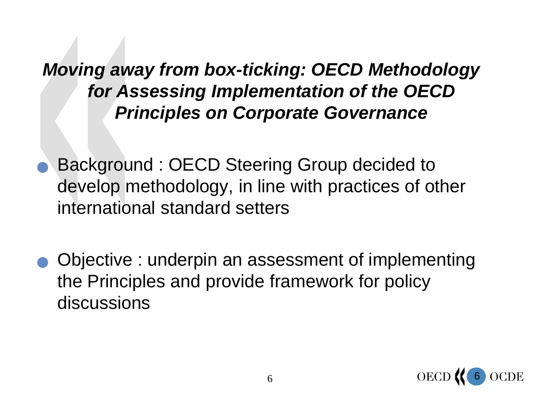#### *Moving away from box-ticking: OECD Methodology for Assessing Implementation of the OECD Principles on Corporate Governance*

- Background : OECD Steering Group decided to develop methodology, in line with practices of other international standard setters
- Objective : underpin an assessment of implementing the Principles and provide framework for policy discussions

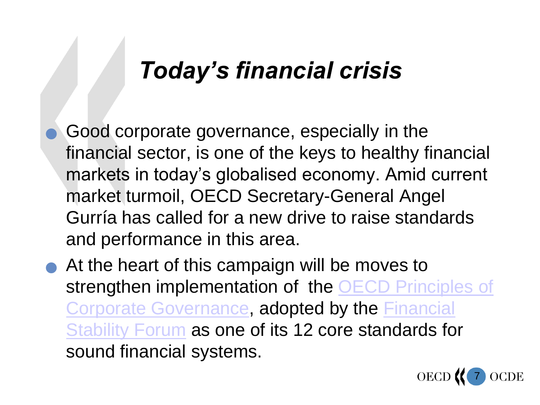### *Today's financial crisis*

- Good corporate governance, especially in the financial sector, is one of the keys to healthy financial markets in today"s globalised economy. Amid current market turmoil, OECD Secretary-General Angel Gurría has called for a new drive to raise standards and performance in this area.
- At the heart of this campaign will be moves to strengthen implementation of the [OECD Principles of](http://www.oecd.org/dataoecd/32/18/31557724.pdf)  [Corporate Governance](http://www.oecd.org/dataoecd/32/18/31557724.pdf), adopted by the Financial [Stability Forum](http://www.fsforum.org/) as one of its 12 core standards for sound financial systems.

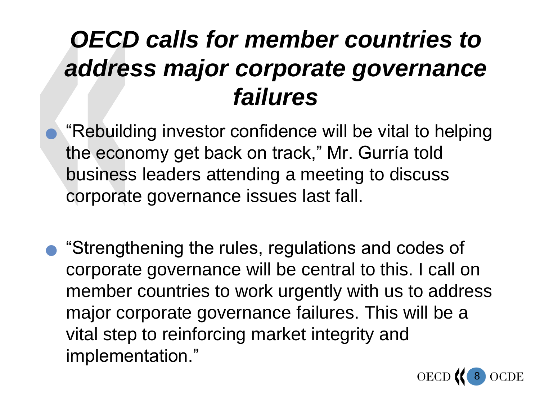## *OECD calls for member countries to address major corporate governance failures*

 "Rebuilding investor confidence will be vital to helping the economy get back on track," Mr. Gurría told business leaders attending a meeting to discuss corporate governance issues last fall.

 "Strengthening the rules, regulations and codes of corporate governance will be central to this. I call on member countries to work urgently with us to address major corporate governance failures. This will be a vital step to reinforcing market integrity and implementation."

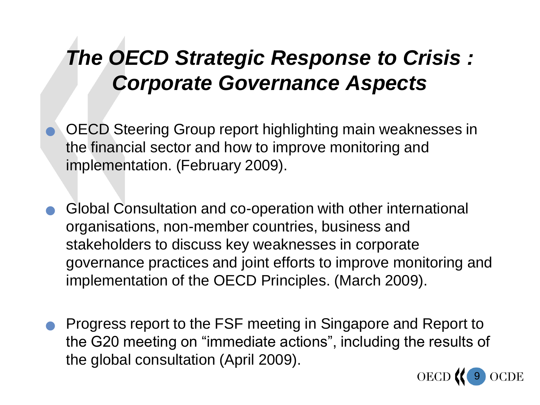### *The OECD Strategic Response to Crisis : Corporate Governance Aspects*

- OECD Steering Group report highlighting main weaknesses in the financial sector and how to improve monitoring and implementation. (February 2009).
- Global Consultation and co-operation with other international organisations, non-member countries, business and stakeholders to discuss key weaknesses in corporate governance practices and joint efforts to improve monitoring and implementation of the OECD Principles. (March 2009).
- Progress report to the FSF meeting in Singapore and Report to the G20 meeting on "immediate actions", including the results of the global consultation (April 2009).

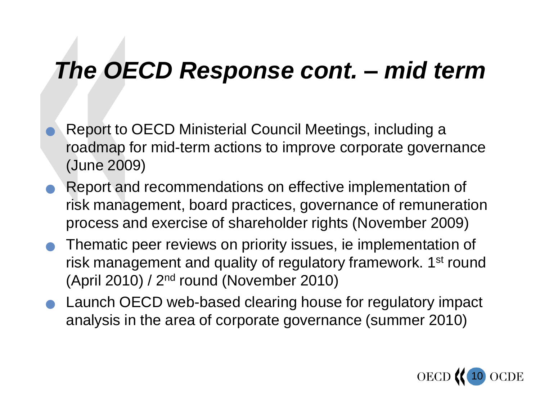## *The OECD Response cont. – mid term*

- Report to OECD Ministerial Council Meetings, including a roadmap for mid-term actions to improve corporate governance (June 2009)
- Report and recommendations on effective implementation of risk management, board practices, governance of remuneration process and exercise of shareholder rights (November 2009)
- Thematic peer reviews on priority issues, ie implementation of risk management and quality of regulatory framework. 1<sup>st</sup> round (April 2010) / 2nd round (November 2010)
- Launch OECD web-based clearing house for regulatory impact analysis in the area of corporate governance (summer 2010)

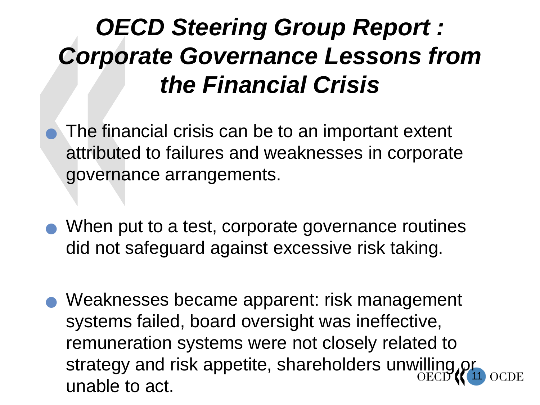## *OECD Steering Group Report : Corporate Governance Lessons from the Financial Crisis*

- The financial crisis can be to an important extent attributed to failures and weaknesses in corporate governance arrangements.
- When put to a test, corporate governance routines did not safeguard against excessive risk taking.
- 11 ● Weaknesses became apparent: risk management systems failed, board oversight was ineffective, remuneration systems were not closely related to strategy and risk appetite, shareholders unwilling c unable to act.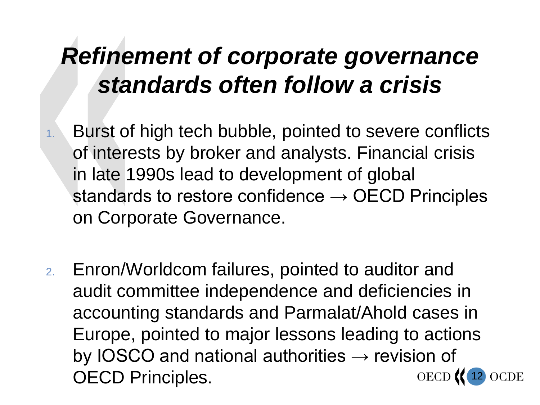## *Refinement of corporate governance standards often follow a crisis*

- 1. Burst of high tech bubble, pointed to severe conflicts of interests by broker and analysts. Financial crisis in late 1990s lead to development of global standards to restore confidence  $\rightarrow$  OECD Principles on Corporate Governance.
- 2. Enron/Worldcom failures, pointed to auditor and audit committee independence and deficiencies in accounting standards and Parmalat/Ahold cases in Europe, pointed to major lessons leading to actions by IOSCO and national authorities  $\rightarrow$  revision of OECD Principles.**OECD OCDE** 12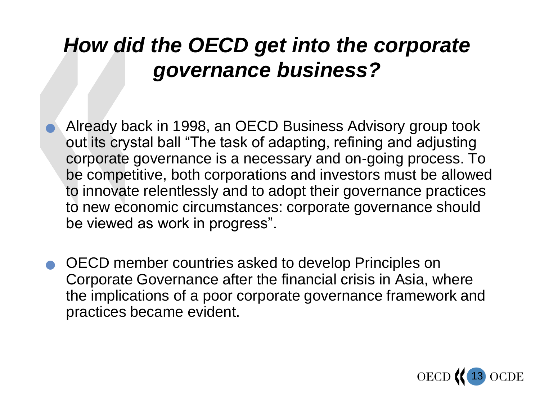#### *How did the OECD get into the corporate governance business?*

- Already back in 1998, an OECD Business Advisory group took out its crystal ball "The task of adapting, refining and adjusting corporate governance is a necessary and on-going process. To be competitive, both corporations and investors must be allowed to innovate relentlessly and to adopt their governance practices to new economic circumstances: corporate governance should be viewed as work in progress".
- OECD member countries asked to develop Principles on Corporate Governance after the financial crisis in Asia, where the implications of a poor corporate governance framework and practices became evident.

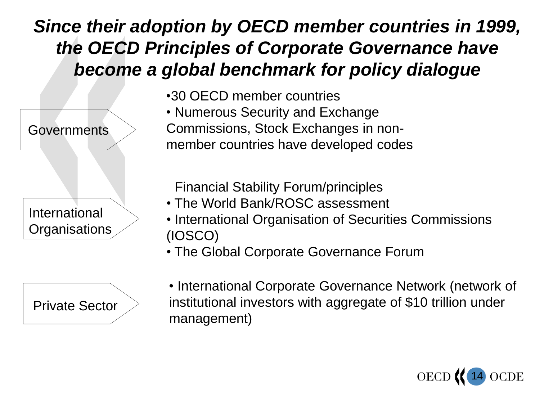#### *Since their adoption by OECD member countries in 1999, the OECD Principles of Corporate Governance have become a global benchmark for policy dialogue*





•30 OECD member countries

• Numerous Security and Exchange Commissions, Stock Exchanges in nonmember countries have developed codes

• Financial Stability Forum/principles

- The World Bank/ROSC assessment
- International Organisation of Securities Commissions (IOSCO)
- The Global Corporate Governance Forum

• International Corporate Governance Network (network of institutional investors with aggregate of \$10 trillion under management)

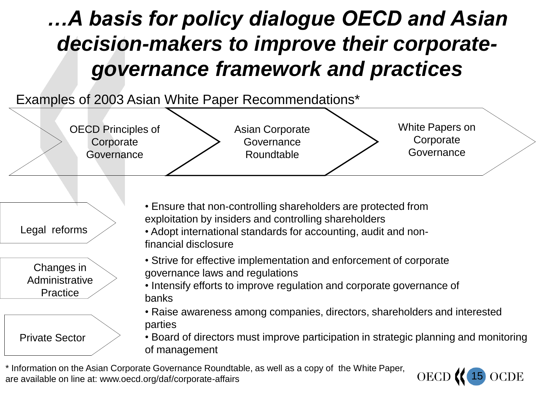### *…A basis for policy dialogue OECD and Asian decision-makers to improve their corporategovernance framework and practices*



\* Information on the Asian Corporate Governance Roundtable, as well as a copy of the White Paper, are available on line at: www.oecd.org/daf/corporate-affairs

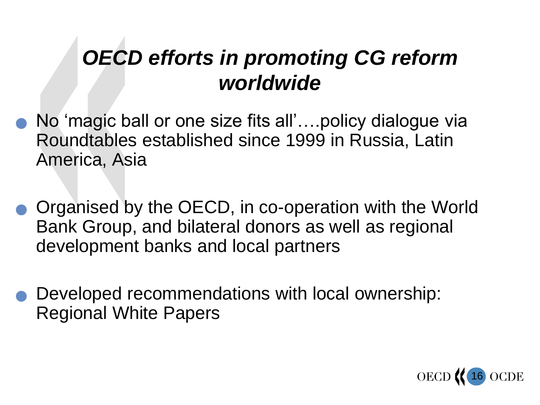#### *OECD efforts in promoting CG reform worldwide*

- No "magic ball or one size fits all"….policy dialogue via Roundtables established since 1999 in Russia, Latin America, Asia
- Organised by the OECD, in co-operation with the World Bank Group, and bilateral donors as well as regional development banks and local partners
- Developed recommendations with local ownership: Regional White Papers

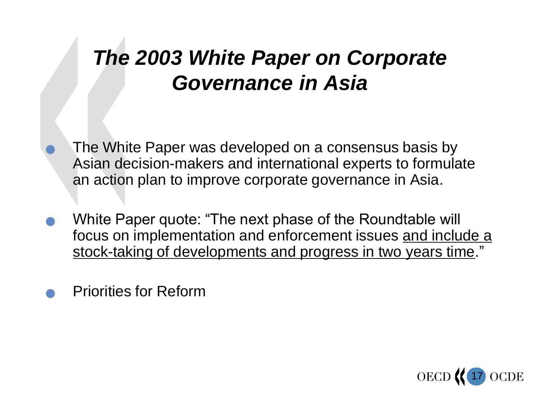### *The 2003 White Paper on Corporate Governance in Asia*

 The White Paper was developed on a consensus basis by Asian decision-makers and international experts to formulate an action plan to improve corporate governance in Asia.

- White Paper quote: "The next phase of the Roundtable will focus on implementation and enforcement issues and include a stock-taking of developments and progress in two years time."
- Priorities for Reform

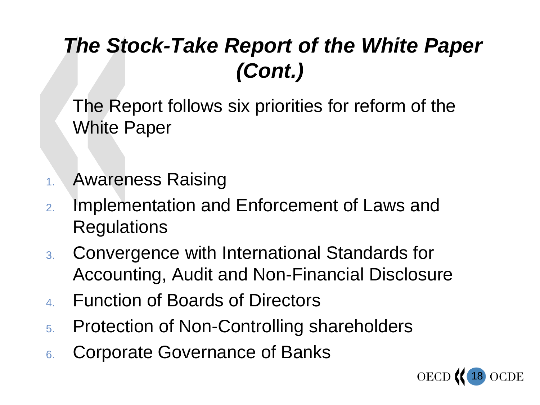### *The Stock-Take Report of the White Paper (Cont.)*

The Report follows six priorities for reform of the White Paper

- 1. Awareness Raising
- 2. Implementation and Enforcement of Laws and Regulations
- 3. Convergence with International Standards for Accounting, Audit and Non-Financial Disclosure
- 4. Function of Boards of Directors
- 5. Protection of Non-Controlling shareholders
- 6. Corporate Governance of Banks

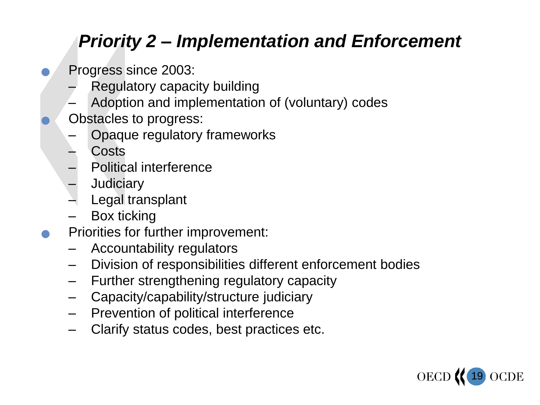#### *Priority 2 – Implementation and Enforcement*

- Progress since 2003:
	- Regulatory capacity building
	- Adoption and implementation of (voluntary) codes
- Obstacles to progress:
	- Opaque regulatory frameworks
	- **Costs**
	- Political interference
	- **Judiciary**
	- Legal transplant
	- Box ticking
- Priorities for further improvement:
	- Accountability regulators
	- Division of responsibilities different enforcement bodies
	- Further strengthening regulatory capacity
	- Capacity/capability/structure judiciary
	- Prevention of political interference
	- Clarify status codes, best practices etc.

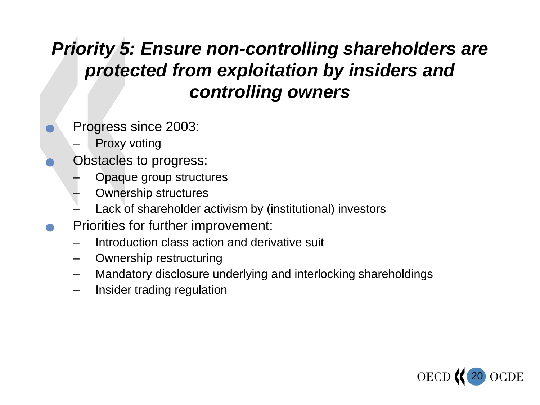#### *Priority 5: Ensure non-controlling shareholders are protected from exploitation by insiders and controlling owners*

- Progress since 2003:
	- Proxy voting
	- Obstacles to progress:
		- Opaque group structures
		- Ownership structures
		- Lack of shareholder activism by (institutional) investors
- Priorities for further improvement:
	- Introduction class action and derivative suit
	- Ownership restructuring
	- Mandatory disclosure underlying and interlocking shareholdings
	- Insider trading regulation

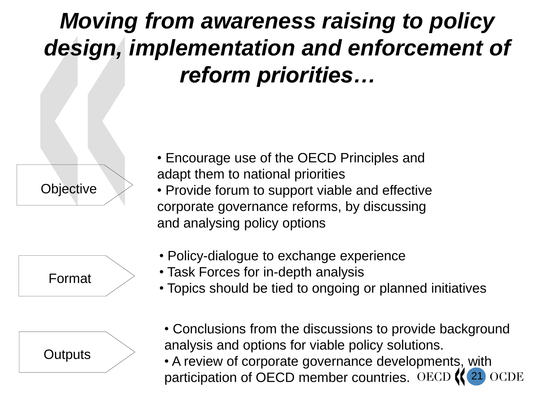## *Moving from awareness raising to policy design, implementation and enforcement of reform priorities…*







- Encourage use of the OECD Principles and adapt them to national priorities
- Provide forum to support viable and effective corporate governance reforms, by discussing and analysing policy options
- Policy-dialogue to exchange experience
- Task Forces for in-depth analysis
- Topics should be tied to ongoing or planned initiatives
- Conclusions from the discussions to provide background analysis and options for viable policy solutions.
- A review of corporate governance developments, with participation of OECD member countries. OECD **OCDE** 21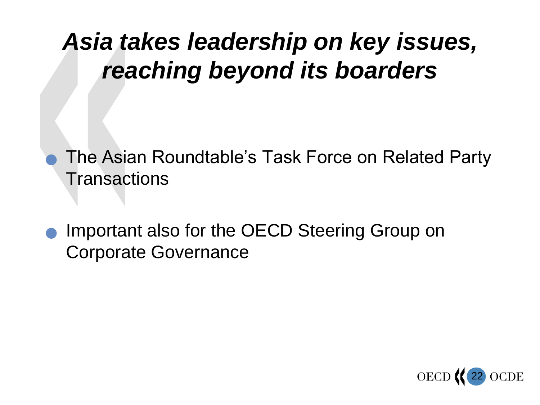## *Asia takes leadership on key issues, reaching beyond its boarders*

- The Asian Roundtable"s Task Force on Related Party **Transactions**
- Important also for the OECD Steering Group on Corporate Governance

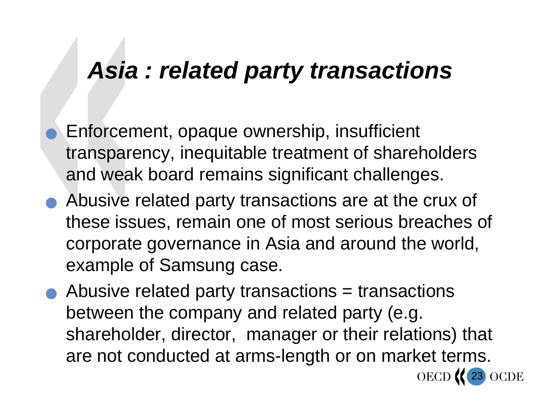### *Asia : related party transactions*

- Enforcement, opaque ownership, insufficient transparency, inequitable treatment of shareholders and weak board remains significant challenges.
- Abusive related party transactions are at the crux of these issues, remain one of most serious breaches of corporate governance in Asia and around the world, example of Samsung case.
- Abusive related party transactions = transactions between the company and related party (e.g. shareholder, director, manager or their relations) that are not conducted at arms-length or on market terms.

23

**OCDE**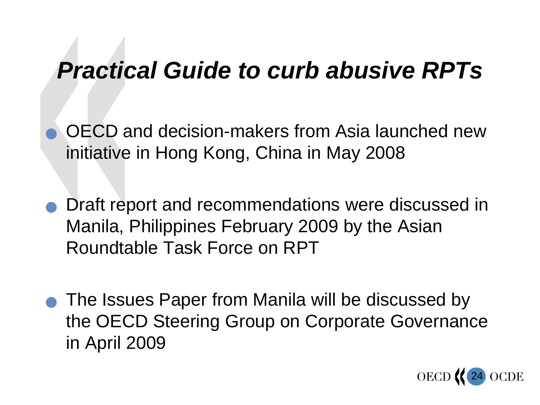### *Practical Guide to curb abusive RPTs*

 OECD and decision-makers from Asia launched new initiative in Hong Kong, China in May 2008

- Draft report and recommendations were discussed in Manila, Philippines February 2009 by the Asian Roundtable Task Force on RPT
- The Issues Paper from Manila will be discussed by the OECD Steering Group on Corporate Governance in April 2009

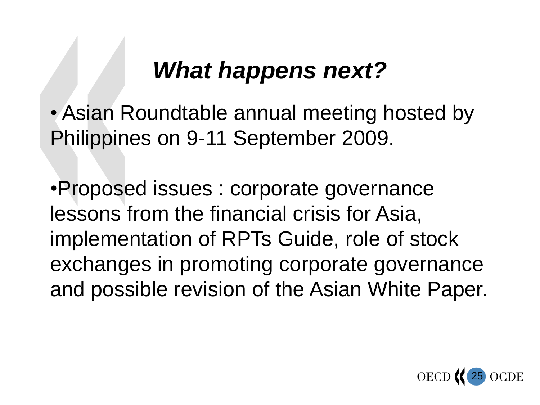## *What happens next?*

• Asian Roundtable annual meeting hosted by Philippines on 9-11 September 2009.

•Proposed issues : corporate governance lessons from the financial crisis for Asia, implementation of RPTs Guide, role of stock exchanges in promoting corporate governance and possible revision of the Asian White Paper.

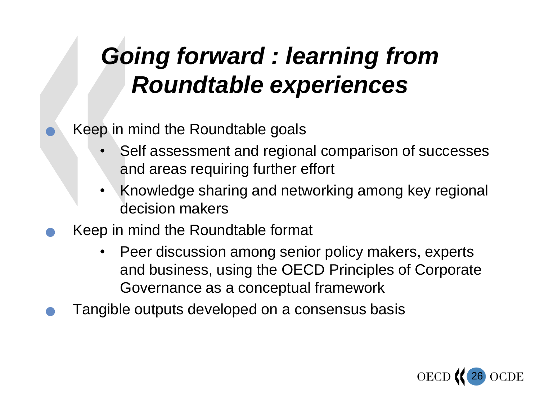# *Going forward : learning from Roundtable experiences*

#### Keep in mind the Roundtable goals

- Self assessment and regional comparison of successes and areas requiring further effort
- Knowledge sharing and networking among key regional decision makers
- Keep in mind the Roundtable format
	- Peer discussion among senior policy makers, experts and business, using the OECD Principles of Corporate Governance as a conceptual framework
- Tangible outputs developed on a consensus basis

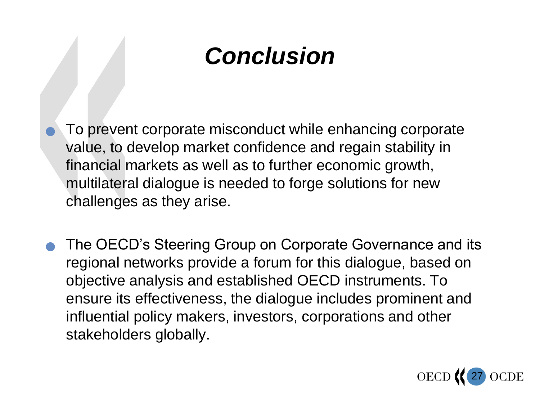# *Conclusion*

- To prevent corporate misconduct while enhancing corporate value, to develop market confidence and regain stability in financial markets as well as to further economic growth, multilateral dialogue is needed to forge solutions for new challenges as they arise.
- The OECD"s Steering Group on Corporate Governance and its regional networks provide a forum for this dialogue, based on objective analysis and established OECD instruments. To ensure its effectiveness, the dialogue includes prominent and influential policy makers, investors, corporations and other stakeholders globally.

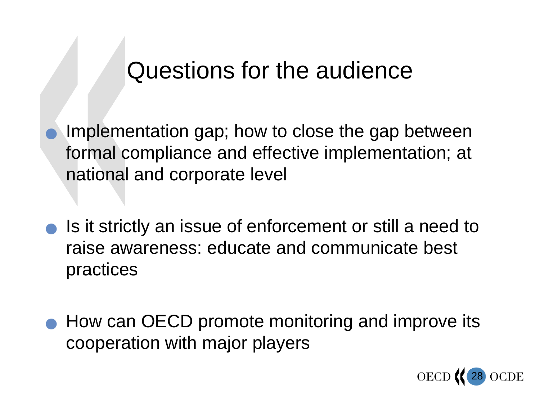### Questions for the audience

 Implementation gap; how to close the gap between formal compliance and effective implementation; at national and corporate level

- Is it strictly an issue of enforcement or still a need to raise awareness: educate and communicate best practices
- How can OECD promote monitoring and improve its cooperation with major players